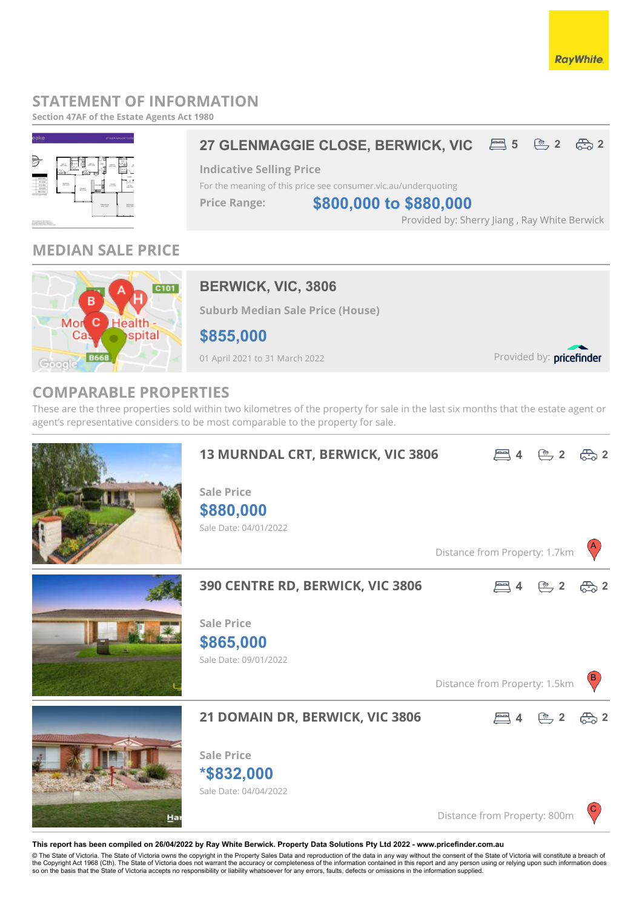## **STATEMENT OF INFORMATION**

**Section 47AF of the Estate Agents Act 1980**



## **MEDIAN SALE PRICE**



## **BERWICK, VIC, 3806**

**Suburb Median Sale Price (House)**

**\$855,000**

01 April 2021 to 31 March 2022

Provided by: pricefinder

**RayWhite** 

## **COMPARABLE PROPERTIES**

These are the three properties sold within two kilometres of the property for sale in the last six months that the estate agent or agent's representative considers to be most comparable to the property for sale.



#### **This report has been compiled on 26/04/2022 by Ray White Berwick. Property Data Solutions Pty Ltd 2022 - www.pricefinder.com.au**

© The State of Victoria. The State of Victoria owns the copyright in the Property Sales Data and reproduction of the data in any way without the consent of the State of Victoria will constitute a breach of<br>the Copyright Ac so on the basis that the State of Victoria accepts no responsibility or liability whatsoever for any errors, faults, defects or omissions in the information supplied.